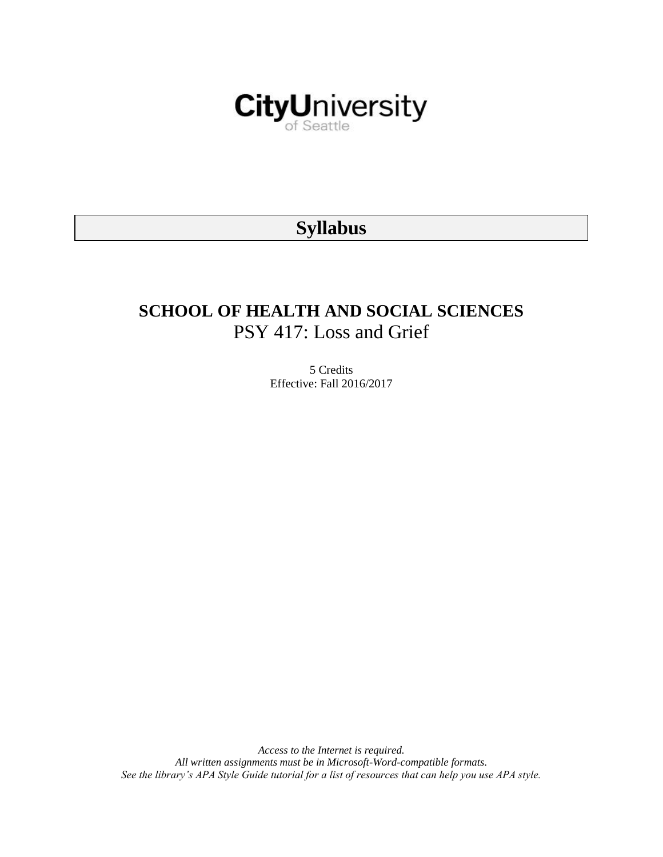

# **Syllabus**

# **SCHOOL OF HEALTH AND SOCIAL SCIENCES** PSY 417: Loss and Grief

5 Credits Effective: Fall 2016/2017

*Access to the Internet is required. All written assignments must be in Microsoft-Word-compatible formats. See the library's APA Style Guide tutorial for a list of resources that can help you use APA style.*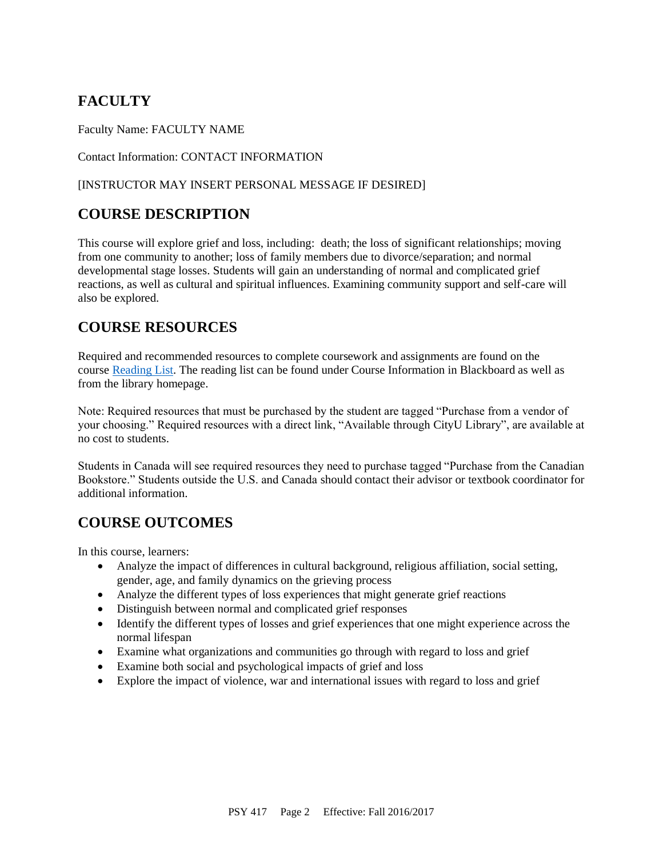## **FACULTY**

Faculty Name: FACULTY NAME

Contact Information: CONTACT INFORMATION

#### [INSTRUCTOR MAY INSERT PERSONAL MESSAGE IF DESIRED]

## **COURSE DESCRIPTION**

This course will explore grief and loss, including: death; the loss of significant relationships; moving from one community to another; loss of family members due to divorce/separation; and normal developmental stage losses. Students will gain an understanding of normal and complicated grief reactions, as well as cultural and spiritual influences. Examining community support and self-care will also be explored.

## **COURSE RESOURCES**

Required and recommended resources to complete coursework and assignments are found on the course [Reading List.](https://nam03.safelinks.protection.outlook.com/?url=https%3A%2F%2Fcityu.alma.exlibrisgroup.com%2Fleganto%2Flogin%3Fauth%3DSAML&data=04%7C01%7CMMara%40cityu.edu%7C70673ce0fe0144040eda08d87472e204%7Cb3fa96d9f5154662add763d854e39e63%7C1%7C0%7C637387384066198115%7CUnknown%7CTWFpbGZsb3d8eyJWIjoiMC4wLjAwMDAiLCJQIjoiV2luMzIiLCJBTiI6Ik1haWwiLCJXVCI6Mn0%3D%7C1000&sdata=JbwP%2Fm5Q%2BMgIUWa%2FXceos%2BoiLv0DX%2B%2FL%2BNGNMbX9P8E%3D&reserved=0) The reading list can be found under Course Information in Blackboard as well as from the library homepage.

Note: Required resources that must be purchased by the student are tagged "Purchase from a vendor of your choosing." Required resources with a direct link, "Available through CityU Library", are available at no cost to students.

Students in Canada will see required resources they need to purchase tagged "Purchase from the Canadian Bookstore." Students outside the U.S. and Canada should contact their advisor or textbook coordinator for additional information.

## **COURSE OUTCOMES**

In this course, learners:

- Analyze the impact of differences in cultural background, religious affiliation, social setting, gender, age, and family dynamics on the grieving process
- Analyze the different types of loss experiences that might generate grief reactions
- Distinguish between normal and complicated grief responses
- Identify the different types of losses and grief experiences that one might experience across the normal lifespan
- Examine what organizations and communities go through with regard to loss and grief
- Examine both social and psychological impacts of grief and loss
- Explore the impact of violence, war and international issues with regard to loss and grief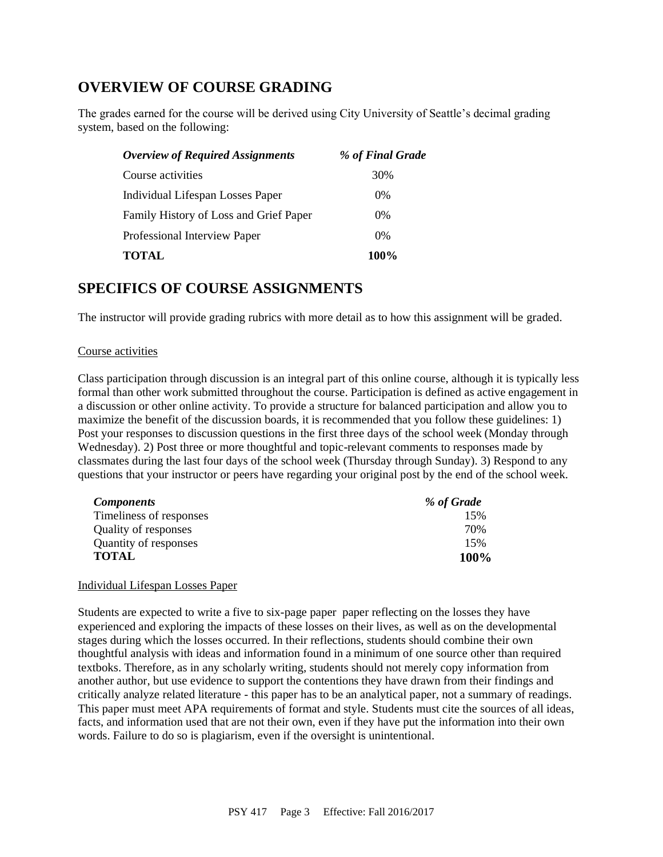## **OVERVIEW OF COURSE GRADING**

The grades earned for the course will be derived using City University of Seattle's decimal grading system, based on the following:

| <b>Overview of Required Assignments</b> | % of Final Grade |
|-----------------------------------------|------------------|
| Course activities                       | 30%              |
| Individual Lifespan Losses Paper        | $0\%$            |
| Family History of Loss and Grief Paper  | $0\%$            |
| Professional Interview Paper            | 0%               |
| <b>TOTAL</b>                            | 100%             |

## **SPECIFICS OF COURSE ASSIGNMENTS**

The instructor will provide grading rubrics with more detail as to how this assignment will be graded.

#### Course activities

Class participation through discussion is an integral part of this online course, although it is typically less formal than other work submitted throughout the course. Participation is defined as active engagement in a discussion or other online activity. To provide a structure for balanced participation and allow you to maximize the benefit of the discussion boards, it is recommended that you follow these guidelines: 1) Post your responses to discussion questions in the first three days of the school week (Monday through Wednesday). 2) Post three or more thoughtful and topic-relevant comments to responses made by classmates during the last four days of the school week (Thursday through Sunday). 3) Respond to any questions that your instructor or peers have regarding your original post by the end of the school week.

| <b>Components</b>       | % of Grade |
|-------------------------|------------|
| Timeliness of responses | 15%        |
| Quality of responses    | 70%        |
| Quantity of responses   | 15%        |
| <b>TOTAL</b>            | 100%       |

#### Individual Lifespan Losses Paper

Students are expected to write a five to six-page paper paper reflecting on the losses they have experienced and exploring the impacts of these losses on their lives, as well as on the developmental stages during which the losses occurred. In their reflections, students should combine their own thoughtful analysis with ideas and information found in a minimum of one source other than required textboks. Therefore, as in any scholarly writing, students should not merely copy information from another author, but use evidence to support the contentions they have drawn from their findings and critically analyze related literature - this paper has to be an analytical paper, not a summary of readings. This paper must meet APA requirements of format and style. Students must cite the sources of all ideas, facts, and information used that are not their own, even if they have put the information into their own words. Failure to do so is plagiarism, even if the oversight is unintentional.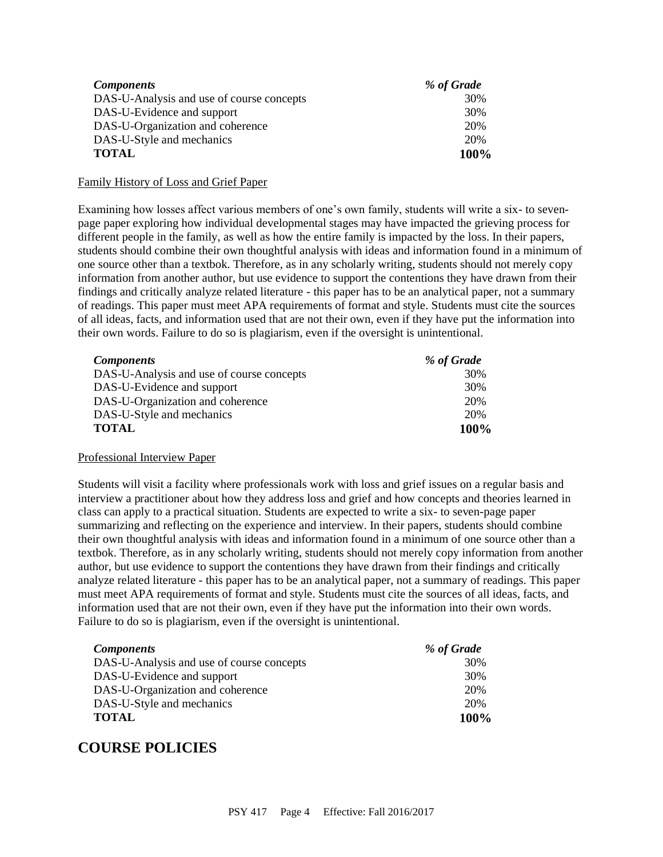| <b>Components</b>                         | % of Grade |
|-------------------------------------------|------------|
| DAS-U-Analysis and use of course concepts | 30%        |
| DAS-U-Evidence and support                | 30%        |
| DAS-U-Organization and coherence          | 20%        |
| DAS-U-Style and mechanics                 | 20%        |
| <b>TOTAL</b>                              | 100%       |

#### Family History of Loss and Grief Paper

Examining how losses affect various members of one's own family, students will write a six- to sevenpage paper exploring how individual developmental stages may have impacted the grieving process for different people in the family, as well as how the entire family is impacted by the loss. In their papers, students should combine their own thoughtful analysis with ideas and information found in a minimum of one source other than a textbok. Therefore, as in any scholarly writing, students should not merely copy information from another author, but use evidence to support the contentions they have drawn from their findings and critically analyze related literature - this paper has to be an analytical paper, not a summary of readings. This paper must meet APA requirements of format and style. Students must cite the sources of all ideas, facts, and information used that are not their own, even if they have put the information into their own words. Failure to do so is plagiarism, even if the oversight is unintentional.

| <b>Components</b>                         | % of Grade |
|-------------------------------------------|------------|
| DAS-U-Analysis and use of course concepts | 30%        |
| DAS-U-Evidence and support                | 30%        |
| DAS-U-Organization and coherence          | 20%        |
| DAS-U-Style and mechanics                 | 20%        |
| <b>TOTAL</b>                              | 100%       |

#### Professional Interview Paper

Students will visit a facility where professionals work with loss and grief issues on a regular basis and interview a practitioner about how they address loss and grief and how concepts and theories learned in class can apply to a practical situation. Students are expected to write a six- to seven-page paper summarizing and reflecting on the experience and interview. In their papers, students should combine their own thoughtful analysis with ideas and information found in a minimum of one source other than a textbok. Therefore, as in any scholarly writing, students should not merely copy information from another author, but use evidence to support the contentions they have drawn from their findings and critically analyze related literature - this paper has to be an analytical paper, not a summary of readings. This paper must meet APA requirements of format and style. Students must cite the sources of all ideas, facts, and information used that are not their own, even if they have put the information into their own words. Failure to do so is plagiarism, even if the oversight is unintentional.

| <i>Components</i>                         | % of Grade |
|-------------------------------------------|------------|
| DAS-U-Analysis and use of course concepts | 30%        |
| DAS-U-Evidence and support                | 30%        |
| DAS-U-Organization and coherence          | 20%        |
| DAS-U-Style and mechanics                 | 20%        |
| <b>TOTAL</b>                              | 100%       |

## **COURSE POLICIES**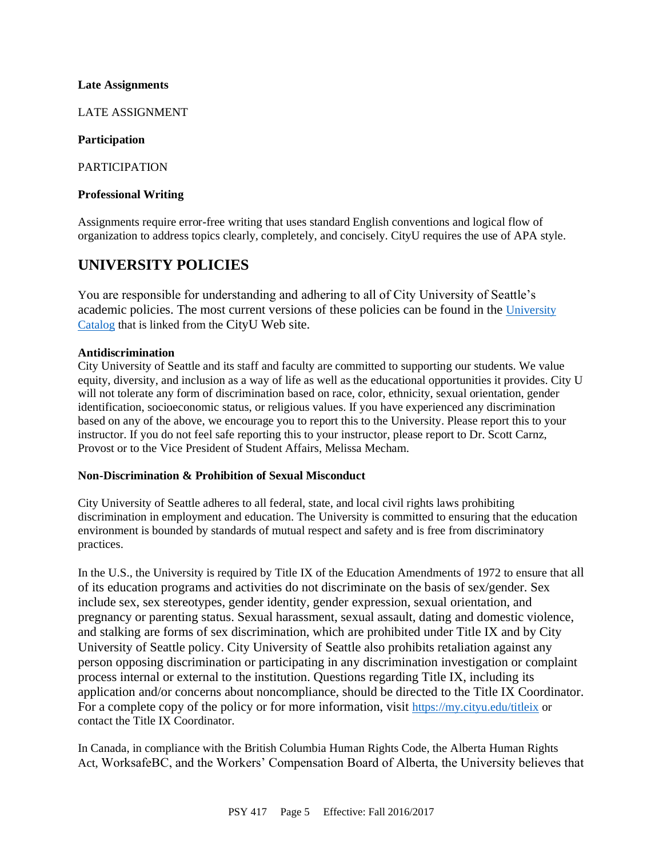#### **Late Assignments**

LATE ASSIGNMENT

#### **Participation**

PARTICIPATION

#### **Professional Writing**

Assignments require error-free writing that uses standard English conventions and logical flow of organization to address topics clearly, completely, and concisely. CityU requires the use of APA style.

### **UNIVERSITY POLICIES**

You are responsible for understanding and adhering to all of City University of Seattle's academic policies. The most current versions of these policies can be found in the [University](https://www.cityu.edu/catalog/)  [Catalog](https://www.cityu.edu/catalog/) that is linked from the CityU Web site.

#### **Antidiscrimination**

City University of Seattle and its staff and faculty are committed to supporting our students. We value equity, diversity, and inclusion as a way of life as well as the educational opportunities it provides. City U will not tolerate any form of discrimination based on race, color, ethnicity, sexual orientation, gender identification, socioeconomic status, or religious values. If you have experienced any discrimination based on any of the above, we encourage you to report this to the University. Please report this to your instructor. If you do not feel safe reporting this to your instructor, please report to Dr. Scott Carnz, Provost or to the Vice President of Student Affairs, Melissa Mecham.

#### **Non-Discrimination & Prohibition of Sexual Misconduct**

City University of Seattle adheres to all federal, state, and local civil rights laws prohibiting discrimination in employment and education. The University is committed to ensuring that the education environment is bounded by standards of mutual respect and safety and is free from discriminatory practices.

In the U.S., the University is required by Title IX of the Education Amendments of 1972 to ensure that all of its education programs and activities do not discriminate on the basis of sex/gender. Sex include sex, sex stereotypes, gender identity, gender expression, sexual orientation, and pregnancy or parenting status. Sexual harassment, sexual assault, dating and domestic violence, and stalking are forms of sex discrimination, which are prohibited under Title IX and by City University of Seattle policy. City University of Seattle also prohibits retaliation against any person opposing discrimination or participating in any discrimination investigation or complaint process internal or external to the institution. Questions regarding Title IX, including its application and/or concerns about noncompliance, should be directed to the Title IX Coordinator. For a complete copy of the policy or for more information, visit <https://my.cityu.edu/titleix> or contact the Title IX Coordinator.

In Canada, in compliance with the British Columbia Human Rights Code, the Alberta Human Rights Act, WorksafeBC, and the Workers' Compensation Board of Alberta, the University believes that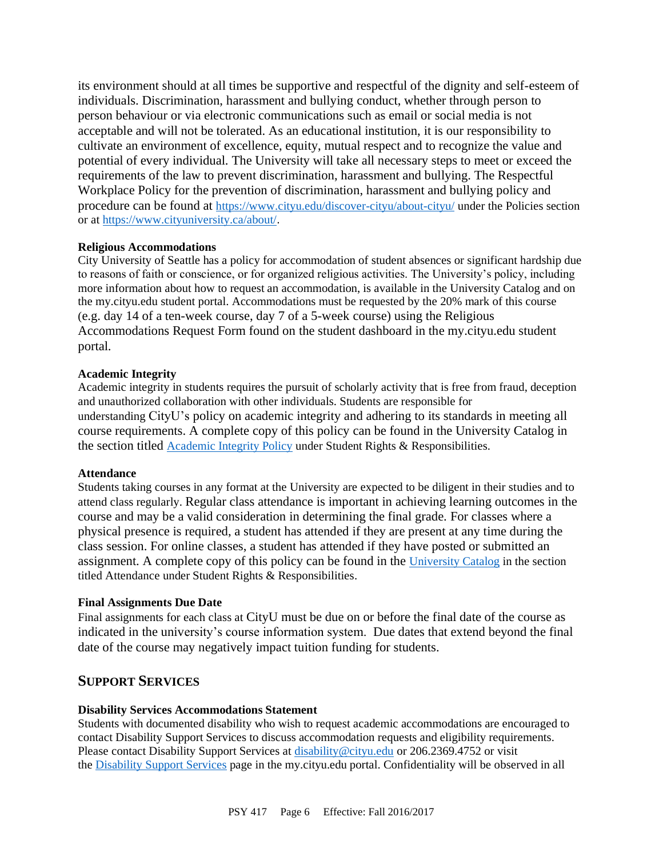its environment should at all times be supportive and respectful of the dignity and self-esteem of individuals. Discrimination, harassment and bullying conduct, whether through person to person behaviour or via electronic communications such as email or social media is not acceptable and will not be tolerated. As an educational institution, it is our responsibility to cultivate an environment of excellence, equity, mutual respect and to recognize the value and potential of every individual. The University will take all necessary steps to meet or exceed the requirements of the law to prevent discrimination, harassment and bullying. The Respectful Workplace Policy for the prevention of discrimination, harassment and bullying policy and procedure can be found at <https://www.cityu.edu/discover-cityu/about-cityu/> under the Policies section or at <https://www.cityuniversity.ca/about/>.

#### **Religious Accommodations**

City University of Seattle has a policy for accommodation of student absences or significant hardship due to reasons of faith or conscience, or for organized religious activities. The University's policy, including more information about how to request an accommodation, is available in the University Catalog and on the my.cityu.edu student portal. Accommodations must be requested by the 20% mark of this course (e.g. day 14 of a ten-week course, day 7 of a 5-week course) using the Religious Accommodations Request Form found on the student dashboard in the my.cityu.edu student portal.

#### **Academic Integrity**

Academic integrity in students requires the pursuit of scholarly activity that is free from fraud, deception and unauthorized collaboration with other individuals. Students are responsible for understanding CityU's policy on academic integrity and adhering to its standards in meeting all course requirements. A complete copy of this policy can be found in the University Catalog in the section titled [Academic Integrity Policy](https://www.cityu.edu/catalog/;) under Student Rights & Responsibilities.

#### **Attendance**

Students taking courses in any format at the University are expected to be diligent in their studies and to attend class regularly. Regular class attendance is important in achieving learning outcomes in the course and may be a valid consideration in determining the final grade. For classes where a physical presence is required, a student has attended if they are present at any time during the class session. For online classes, a student has attended if they have posted or submitted an assignment. A complete copy of this policy can be found in the [University Catalog](https://www.cityu.edu/catalog/;) in the section titled Attendance under Student Rights & Responsibilities.

#### **Final Assignments Due Date**

Final assignments for each class at CityU must be due on or before the final date of the course as indicated in the university's course information system. Due dates that extend beyond the final date of the course may negatively impact tuition funding for students.

#### **SUPPORT SERVICES**

#### **Disability Services Accommodations Statement**

Students with documented disability who wish to request academic accommodations are encouraged to contact Disability Support Services to discuss accommodation requests and eligibility requirements. Please contact Disability Support Services at [disability@cityu.edu](mailto:disability@cityu.edu) or 206.2369.4752 or visit the [Disability Support Services](https://my.cityu.edu/department/disability-support-services/) page in the my.cityu.edu portal. Confidentiality will be observed in all